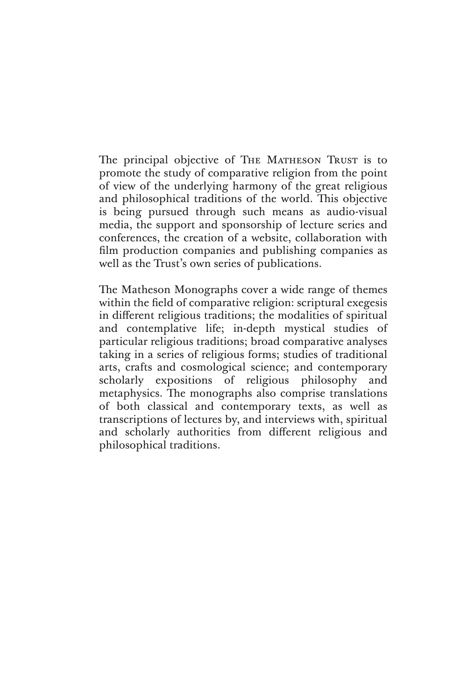The principal objective of The MATHESON TRUST is to promote the study of comparative religion from the point of view of the underlying harmony of the great religious and philosophical traditions of the world. This objective is being pursued through such means as audio-visual media, the support and sponsorship of lecture series and conferences, the creation of a website, collaboration with film production companies and publishing companies as well as the Trust's own series of publications.

The Matheson Monographs cover a wide range of themes within the field of comparative religion: scriptural exegesis in different religious traditions; the modalities of spiritual and contemplative life; in-depth mystical studies of particular religious traditions; broad comparative analyses taking in a series of religious forms; studies of traditional arts, crafts and cosmological science; and contemporary scholarly expositions of religious philosophy and metaphysics. The monographs also comprise translations of both classical and contemporary texts, as well as transcriptions of lectures by, and interviews with, spiritual and scholarly authorities from different religious and philosophical traditions.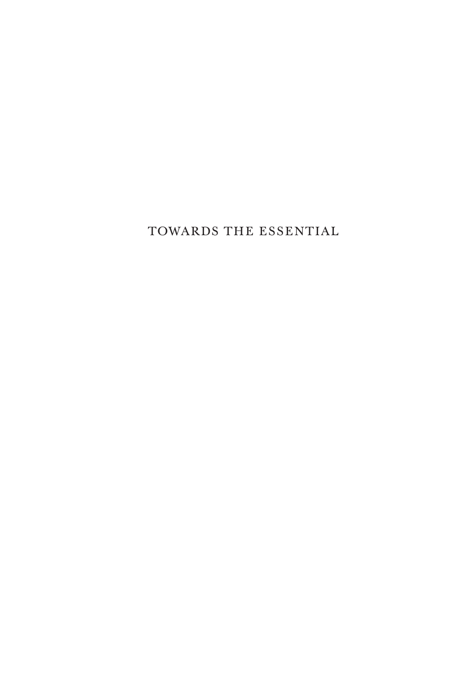TOWARDS THE ESSENTIAL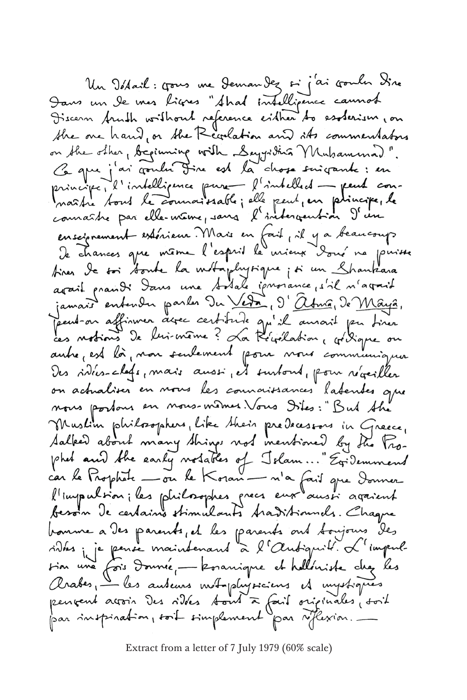Un Istail: gous me Jeman Jez si j'ai gouler Sine Dans un le mes ligres "Ahad intelligence cannot the one hand, or the Revolation and its commentators on the other, beginning with Seyyritia Muhammad". Ce que j'ai contre Jire est la chose suigante : en connaître par elle-même, sans l'intergention d'un ensciprement extérieur Mais en fait, il y a beaucoup tiner le soi soute la métaphysique ; si un Chanteara<br>avait prandi dans une sodale iprovance, s'il n'avait jamais entender parler Du Veta, 9' abria, de Maya, Jamais suivre à la contrat du la famais suivre. on actualiser en nous les counaissances latentes que nous portous en nous-mêmes. Vous Dites: "But the Muslim philosophers, like their predecessors in Greece, Salked about many things not mentioned by the Prophet and the early notables of Jelam..." Exidemment<br>car le Prophete — ou le Koran — n'a fait que Donner l'impulsion ; les philosophes precs eux aussi agaient bonne a des parents, et les parents ont toujours des<br>rides je je pense maintenant à l'Autiquit. L'impul-<br>sion une fois donnée, - konanique et helléniste chez les Arabes, les auteurs mot plujoiens et impôtiques pervent acroin Des vides tout à fait originales, soit par inspiration, soit simplement par réflexion.

Extract from a letter of 7 July 1979 (60% scale)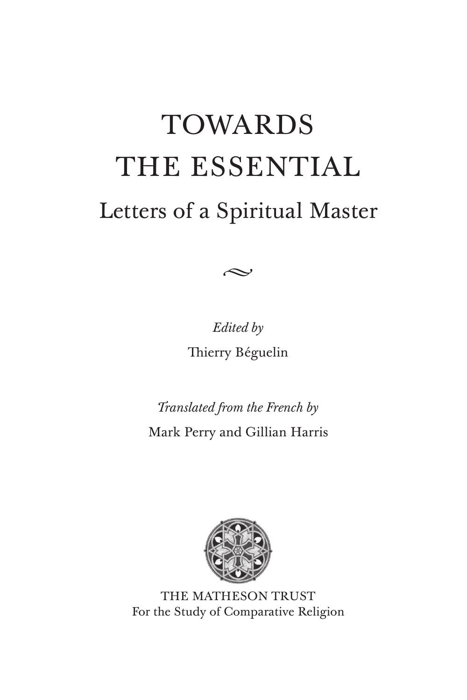# TOWARDS THE ESSENTIAL Letters of a Spiritual Master



*Edited by*  Thierry Béguelin

*Translated from the French by* Mark Perry and Gillian Harris



THE MATHESON TRUST For the Study of Comparative Religion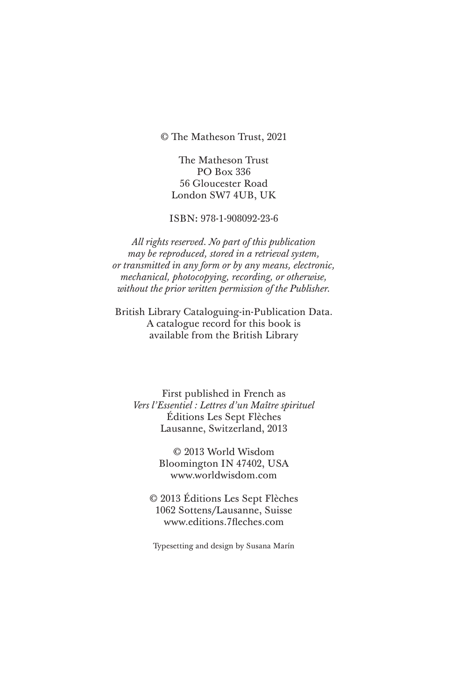© The Matheson Trust, 2021

The Matheson Trust PO Box 336 56 Gloucester Road London SW7 4UB, UK

ISBN: 978-1-908092-23-6

*All rights reserved. No part of this publication may be reproduced, stored in a retrieval system, or transmitted in any form or by any means, electronic, mechanical, photocopying, recording, or otherwise, without the prior written permission of the Publisher.*

British Library Cataloguing-in-Publication Data. A catalogue record for this book is available from the British Library

First published in French as *Vers l'Essentiel : Lettres d'un Maître spirituel* Éditions Les Sept Flèches Lausanne, Switzerland, 2013

> © 2013 World Wisdom Bloomington IN 47402, USA www.worldwisdom.com

© 2013 Éditions Les Sept Flèches 1062 Sottens/Lausanne, Suisse www.editions.7fleches.com

Typesetting and design by Susana Marín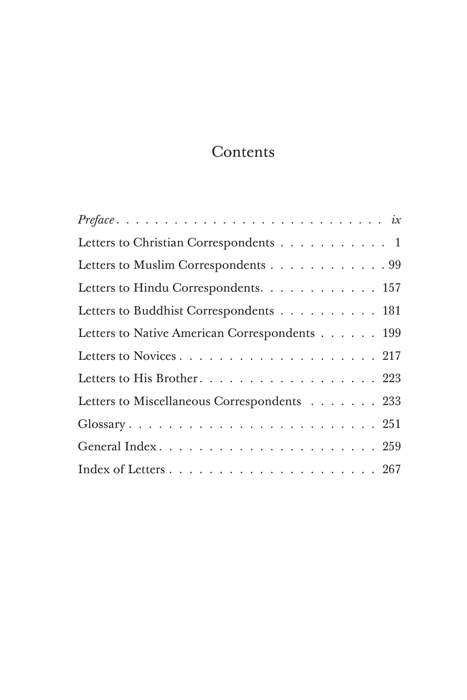# **Contents**

| $Preface \ldots \ldots \ldots \ldots \ldots \ldots \ldots \ldots \ldots \ldots \ldots$ |
|----------------------------------------------------------------------------------------|
| Letters to Christian Correspondents 1                                                  |
| Letters to Muslim Correspondents 99                                                    |
| Letters to Hindu Correspondents. 157                                                   |
| Letters to Buddhist Correspondents 181                                                 |
| Letters to Native American Correspondents 199                                          |
|                                                                                        |
| Letters to His Brother. 223                                                            |
| Letters to Miscellaneous Correspondents 233                                            |
|                                                                                        |
|                                                                                        |
|                                                                                        |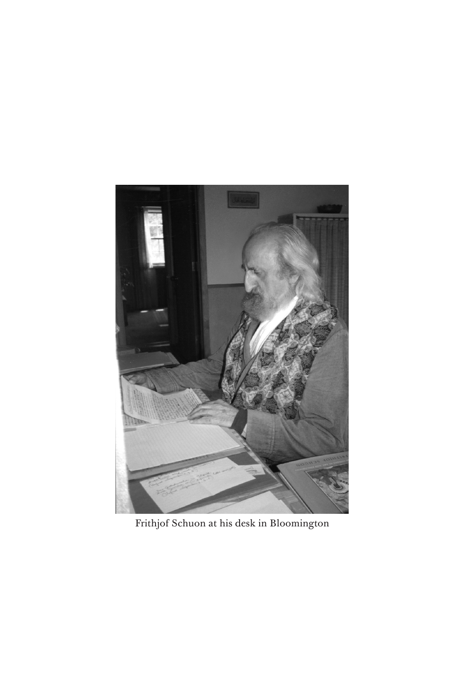

Frithjof Schuon at his desk in Bloomington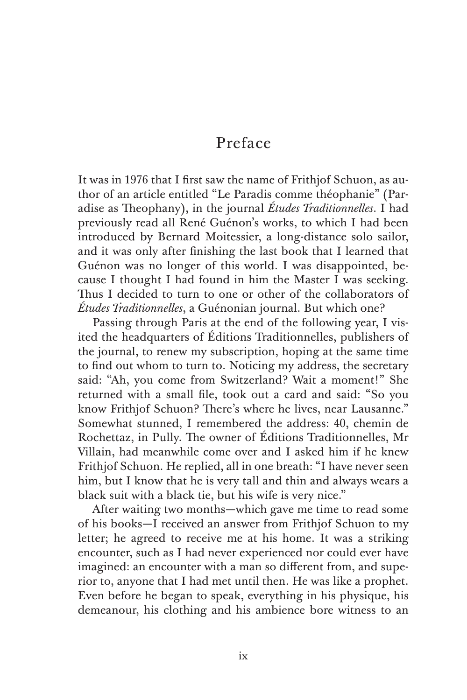# Preface

It was in 1976 that I first saw the name of Frithjof Schuon, as author of an article entitled "Le Paradis comme théophanie" (Paradise as Theophany), in the journal *Études Traditionnelles*. I had previously read all René Guénon's works, to which I had been introduced by Bernard Moitessier, a long-distance solo sailor, and it was only after finishing the last book that I learned that Guénon was no longer of this world. I was disappointed, because I thought I had found in him the Master I was seeking. Thus I decided to turn to one or other of the collaborators of *Études Traditionnelles*, a Guénonian journal. But which one?

Passing through Paris at the end of the following year, I visited the headquarters of Éditions Traditionnelles, publishers of the journal, to renew my subscription, hoping at the same time to find out whom to turn to. Noticing my address, the secretary said: "Ah, you come from Switzerland? Wait a moment!" She returned with a small file, took out a card and said: "So you know Frithjof Schuon? There's where he lives, near Lausanne." Somewhat stunned, I remembered the address: 40, chemin de Rochettaz, in Pully. The owner of Éditions Traditionnelles, Mr Villain, had meanwhile come over and I asked him if he knew Frithjof Schuon. He replied, all in one breath: "I have never seen him, but I know that he is very tall and thin and always wears a black suit with a black tie, but his wife is very nice."

After waiting two months—which gave me time to read some of his books—I received an answer from Frithjof Schuon to my letter; he agreed to receive me at his home. It was a striking encounter, such as I had never experienced nor could ever have imagined: an encounter with a man so different from, and superior to, anyone that I had met until then. He was like a prophet. Even before he began to speak, everything in his physique, his demeanour, his clothing and his ambience bore witness to an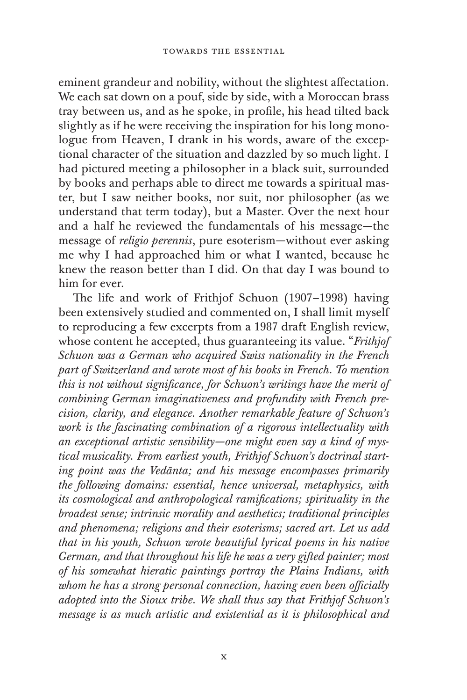eminent grandeur and nobility, without the slightest affectation. We each sat down on a pouf, side by side, with a Moroccan brass tray between us, and as he spoke, in profile, his head tilted back slightly as if he were receiving the inspiration for his long monologue from Heaven, I drank in his words, aware of the exceptional character of the situation and dazzled by so much light. I had pictured meeting a philosopher in a black suit, surrounded by books and perhaps able to direct me towards a spiritual master, but I saw neither books, nor suit, nor philosopher (as we understand that term today), but a Master. Over the next hour and a half he reviewed the fundamentals of his message—the message of *religio perennis*, pure esoterism—without ever asking me why I had approached him or what I wanted, because he knew the reason better than I did. On that day I was bound to him for ever.

The life and work of Frithjof Schuon (1907–1998) having been extensively studied and commented on, I shall limit myself to reproducing a few excerpts from a 1987 draft English review, whose content he accepted, thus guaranteeing its value. "*Frithjof Schuon was a German who acquired Swiss nationality in the French part of Switzerland and wrote most of his books in French. To mention this is not without significance, for Schuon's writings have the merit of combining German imaginativeness and profundity with French precision, clarity, and elegance. Another remarkable feature of Schuon's work is the fascinating combination of a rigorous intellectuality with an exceptional artistic sensibility—one might even say a kind of mystical musicality. From earliest youth, Frithjof Schuon's doctrinal starting point was the Vedānta; and his message encompasses primarily the following domains: essential, hence universal, metaphysics, with its cosmological and anthropological ramifications; spirituality in the broadest sense; intrinsic morality and aesthetics; traditional principles and phenomena; religions and their esoterisms; sacred art. Let us add that in his youth, Schuon wrote beautiful lyrical poems in his native German, and that throughout his life he was a very gifted painter; most of his somewhat hieratic paintings portray the Plains Indians, with whom he has a strong personal connection, having even been officially adopted into the Sioux tribe. We shall thus say that Frithjof Schuon's message is as much artistic and existential as it is philosophical and*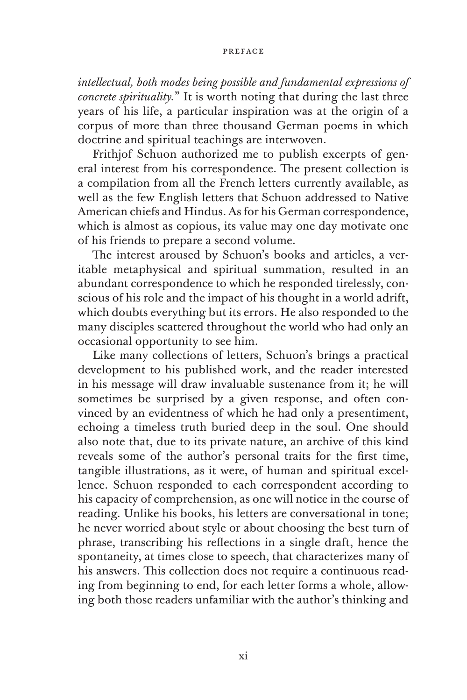#### **PREFACE**

*intellectual, both modes being possible and fundamental expressions of concrete spirituality.*" It is worth noting that during the last three years of his life, a particular inspiration was at the origin of a corpus of more than three thousand German poems in which doctrine and spiritual teachings are interwoven.

Frithjof Schuon authorized me to publish excerpts of general interest from his correspondence. The present collection is a compilation from all the French letters currently available, as well as the few English letters that Schuon addressed to Native American chiefs and Hindus. As for his German correspondence, which is almost as copious, its value may one day motivate one of his friends to prepare a second volume.

The interest aroused by Schuon's books and articles, a veritable metaphysical and spiritual summation, resulted in an abundant correspondence to which he responded tirelessly, conscious of his role and the impact of his thought in a world adrift, which doubts everything but its errors. He also responded to the many disciples scattered throughout the world who had only an occasional opportunity to see him.

Like many collections of letters, Schuon's brings a practical development to his published work, and the reader interested in his message will draw invaluable sustenance from it; he will sometimes be surprised by a given response, and often convinced by an evidentness of which he had only a presentiment, echoing a timeless truth buried deep in the soul. One should also note that, due to its private nature, an archive of this kind reveals some of the author's personal traits for the first time, tangible illustrations, as it were, of human and spiritual excellence. Schuon responded to each correspondent according to his capacity of comprehension, as one will notice in the course of reading. Unlike his books, his letters are conversational in tone; he never worried about style or about choosing the best turn of phrase, transcribing his reflections in a single draft, hence the spontaneity, at times close to speech, that characterizes many of his answers. This collection does not require a continuous reading from beginning to end, for each letter forms a whole, allowing both those readers unfamiliar with the author's thinking and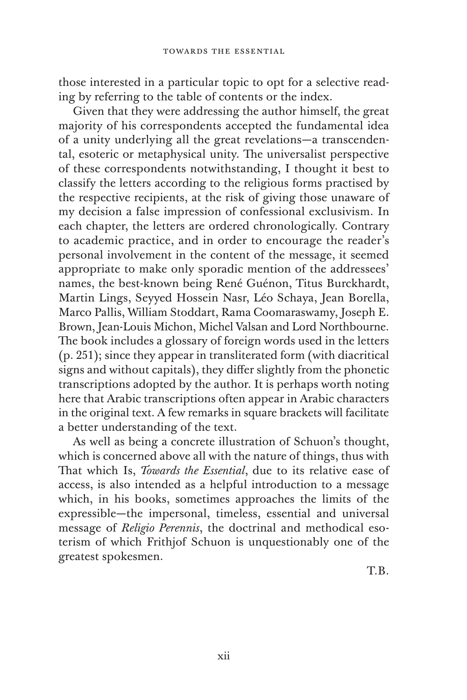those interested in a particular topic to opt for a selective reading by referring to the table of contents or the index.

Given that they were addressing the author himself, the great majority of his correspondents accepted the fundamental idea of a unity underlying all the great revelations—a transcendental, esoteric or metaphysical unity. The universalist perspective of these correspondents notwithstanding, I thought it best to classify the letters according to the religious forms practised by the respective recipients, at the risk of giving those unaware of my decision a false impression of confessional exclusivism. In each chapter, the letters are ordered chronologically. Contrary to academic practice, and in order to encourage the reader's personal involvement in the content of the message, it seemed appropriate to make only sporadic mention of the addressees' names, the best-known being René Guénon, Titus Burckhardt, Martin Lings, Seyyed Hossein Nasr, Léo Schaya, Jean Borella, Marco Pallis, William Stoddart, Rama Coomaraswamy, Joseph E. Brown, Jean-Louis Michon, Michel Valsan and Lord Northbourne. The book includes a glossary of foreign words used in the letters (p. 251); since they appear in transliterated form (with diacritical signs and without capitals), they differ slightly from the phonetic transcriptions adopted by the author. It is perhaps worth noting here that Arabic transcriptions often appear in Arabic characters in the original text. A few remarks in square brackets will facilitate a better understanding of the text.

As well as being a concrete illustration of Schuon's thought, which is concerned above all with the nature of things, thus with That which Is, *Towards the Essential*, due to its relative ease of access, is also intended as a helpful introduction to a message which, in his books, sometimes approaches the limits of the expressible—the impersonal, timeless, essential and universal message of *Religio Perennis*, the doctrinal and methodical esoterism of which Frithjof Schuon is unquestionably one of the greatest spokesmen.

T.B.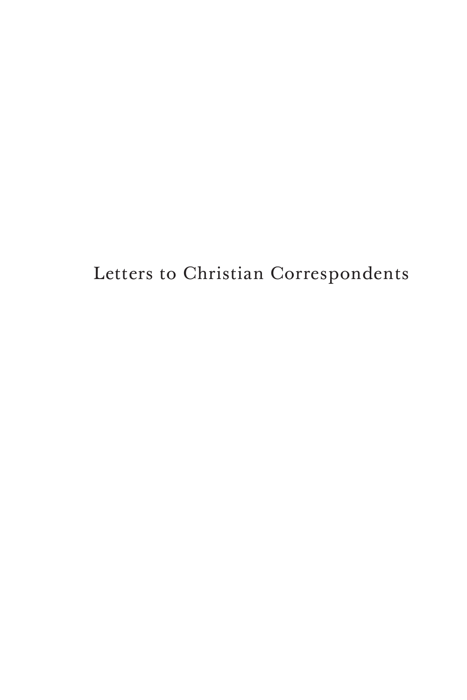Letters to Christian Correspondents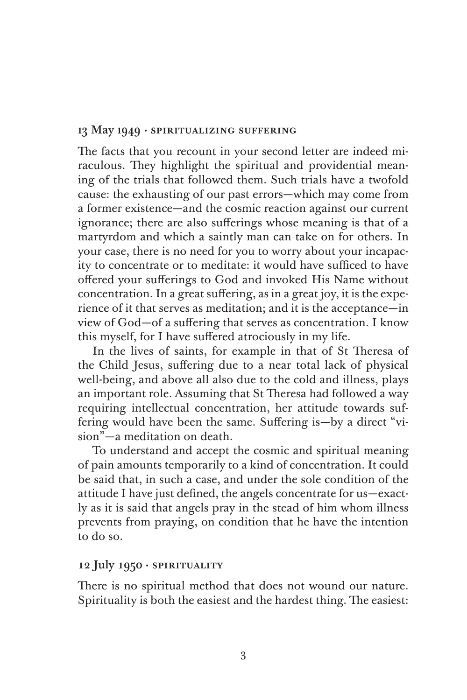#### 13 May 1949 *·* spiritualizing suffering

The facts that you recount in your second letter are indeed miraculous. They highlight the spiritual and providential meaning of the trials that followed them. Such trials have a twofold cause: the exhausting of our past errors—which may come from a former existence—and the cosmic reaction against our current ignorance; there are also sufferings whose meaning is that of a martyrdom and which a saintly man can take on for others. In your case, there is no need for you to worry about your incapacity to concentrate or to meditate: it would have sufficed to have offered your sufferings to God and invoked His Name without concentration. In a great suffering, as in a great joy, it is the experience of it that serves as meditation; and it is the acceptance—in view of God—of a suffering that serves as concentration. I know this myself, for I have suffered atrociously in my life.

In the lives of saints, for example in that of St Theresa of the Child Jesus, suffering due to a near total lack of physical well-being, and above all also due to the cold and illness, plays an important role. Assuming that St Theresa had followed a way requiring intellectual concentration, her attitude towards suffering would have been the same. Suffering is—by a direct "vision"—a meditation on death.

To understand and accept the cosmic and spiritual meaning of pain amounts temporarily to a kind of concentration. It could be said that, in such a case, and under the sole condition of the attitude I have just defined, the angels concentrate for us—exactly as it is said that angels pray in the stead of him whom illness prevents from praying, on condition that he have the intention to do so.

### 12 July 1950 · spirituality

There is no spiritual method that does not wound our nature. Spirituality is both the easiest and the hardest thing. The easiest: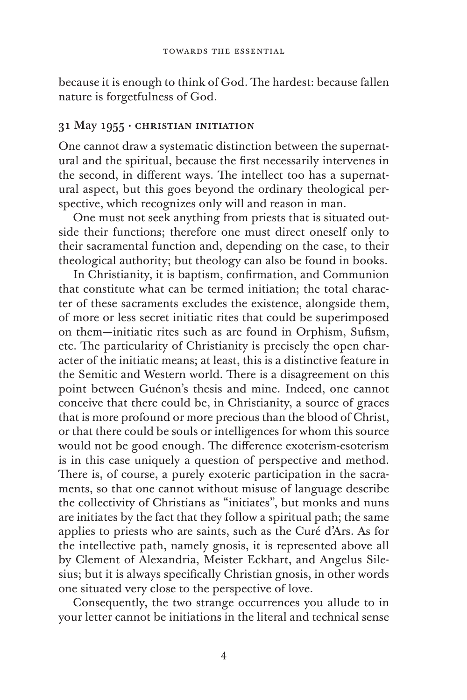because it is enough to think of God. The hardest: because fallen nature is forgetfulness of God.

#### 31 May 1955 · christian initiation

One cannot draw a systematic distinction between the supernatural and the spiritual, because the first necessarily intervenes in the second, in different ways. The intellect too has a supernatural aspect, but this goes beyond the ordinary theological perspective, which recognizes only will and reason in man.

One must not seek anything from priests that is situated outside their functions; therefore one must direct oneself only to their sacramental function and, depending on the case, to their theological authority; but theology can also be found in books.

In Christianity, it is baptism, confirmation, and Communion that constitute what can be termed initiation; the total character of these sacraments excludes the existence, alongside them, of more or less secret initiatic rites that could be superimposed on them—initiatic rites such as are found in Orphism, Sufism, etc. The particularity of Christianity is precisely the open character of the initiatic means; at least, this is a distinctive feature in the Semitic and Western world. There is a disagreement on this point between Guénon's thesis and mine. Indeed, one cannot conceive that there could be, in Christianity, a source of graces that is more profound or more precious than the blood of Christ, or that there could be souls or intelligences for whom this source would not be good enough. The difference exoterism-esoterism is in this case uniquely a question of perspective and method. There is, of course, a purely exoteric participation in the sacraments, so that one cannot without misuse of language describe the collectivity of Christians as "initiates", but monks and nuns are initiates by the fact that they follow a spiritual path; the same applies to priests who are saints, such as the Curé d'Ars. As for the intellective path, namely gnosis, it is represented above all by Clement of Alexandria, Meister Eckhart, and Angelus Silesius; but it is always specifically Christian gnosis, in other words one situated very close to the perspective of love.

Consequently, the two strange occurrences you allude to in your letter cannot be initiations in the literal and technical sense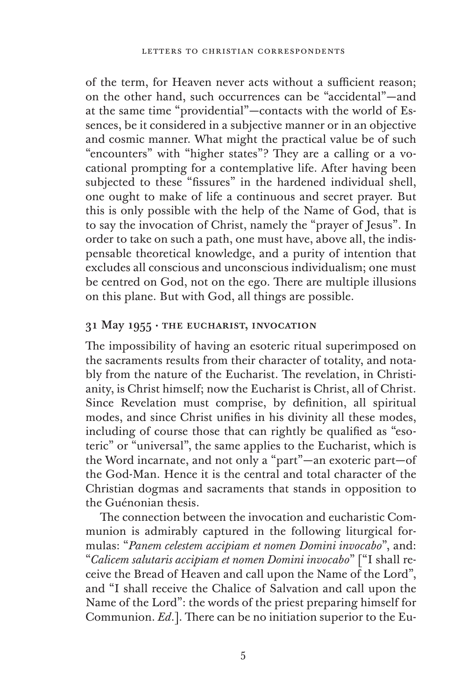of the term, for Heaven never acts without a sufficient reason; on the other hand, such occurrences can be "accidental"—and at the same time "providential"—contacts with the world of Essences, be it considered in a subjective manner or in an objective and cosmic manner. What might the practical value be of such "encounters" with "higher states"? They are a calling or a vocational prompting for a contemplative life. After having been subjected to these "fissures" in the hardened individual shell, one ought to make of life a continuous and secret prayer. But this is only possible with the help of the Name of God, that is to say the invocation of Christ, namely the "prayer of Jesus". In order to take on such a path, one must have, above all, the indispensable theoretical knowledge, and a purity of intention that excludes all conscious and unconscious individualism; one must be centred on God, not on the ego. There are multiple illusions on this plane. But with God, all things are possible.

## 31 May 1955 · the eucharist, invocation

The impossibility of having an esoteric ritual superimposed on the sacraments results from their character of totality, and notably from the nature of the Eucharist. The revelation, in Christianity, is Christ himself; now the Eucharist is Christ, all of Christ. Since Revelation must comprise, by definition, all spiritual modes, and since Christ unifies in his divinity all these modes, including of course those that can rightly be qualified as "esoteric" or "universal", the same applies to the Eucharist, which is the Word incarnate, and not only a "part"—an exoteric part—of the God-Man. Hence it is the central and total character of the Christian dogmas and sacraments that stands in opposition to the Guénonian thesis.

The connection between the invocation and eucharistic Communion is admirably captured in the following liturgical formulas: "*Panem celestem accipiam et nomen Domini invocabo*", and: "*Calicem salutaris accipiam et nomen Domini invocabo*" ["I shall receive the Bread of Heaven and call upon the Name of the Lord", and "I shall receive the Chalice of Salvation and call upon the Name of the Lord": the words of the priest preparing himself for Communion. *Ed*.]. There can be no initiation superior to the Eu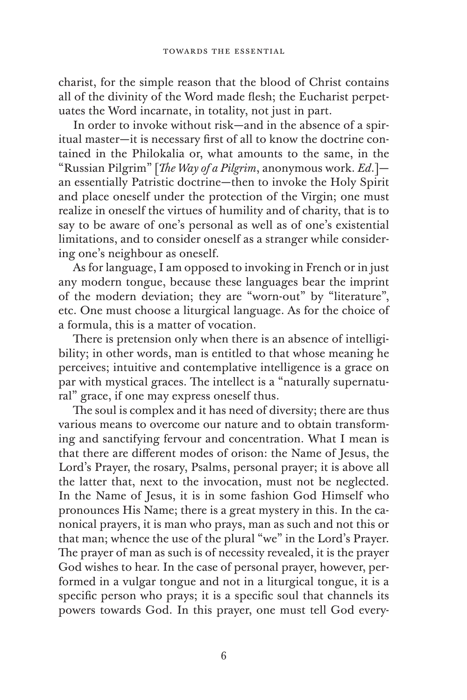charist, for the simple reason that the blood of Christ contains all of the divinity of the Word made flesh; the Eucharist perpetuates the Word incarnate, in totality, not just in part.

In order to invoke without risk—and in the absence of a spiritual master—it is necessary first of all to know the doctrine contained in the Philokalia or, what amounts to the same, in the "Russian Pilgrim" [*The Way of a Pilgrim*, anonymous work. *Ed*.] an essentially Patristic doctrine—then to invoke the Holy Spirit and place oneself under the protection of the Virgin; one must realize in oneself the virtues of humility and of charity, that is to say to be aware of one's personal as well as of one's existential limitations, and to consider oneself as a stranger while considering one's neighbour as oneself.

As for language, I am opposed to invoking in French or in just any modern tongue, because these languages bear the imprint of the modern deviation; they are "worn-out" by "literature", etc. One must choose a liturgical language. As for the choice of a formula, this is a matter of vocation.

There is pretension only when there is an absence of intelligibility; in other words, man is entitled to that whose meaning he perceives; intuitive and contemplative intelligence is a grace on par with mystical graces. The intellect is a "naturally supernatural" grace, if one may express oneself thus.

The soul is complex and it has need of diversity; there are thus various means to overcome our nature and to obtain transforming and sanctifying fervour and concentration. What I mean is that there are different modes of orison: the Name of Jesus, the Lord's Prayer, the rosary, Psalms, personal prayer; it is above all the latter that, next to the invocation, must not be neglected. In the Name of Jesus, it is in some fashion God Himself who pronounces His Name; there is a great mystery in this. In the canonical prayers, it is man who prays, man as such and not this or that man; whence the use of the plural "we" in the Lord's Prayer. The prayer of man as such is of necessity revealed, it is the prayer God wishes to hear. In the case of personal prayer, however, performed in a vulgar tongue and not in a liturgical tongue, it is a specific person who prays; it is a specific soul that channels its powers towards God. In this prayer, one must tell God every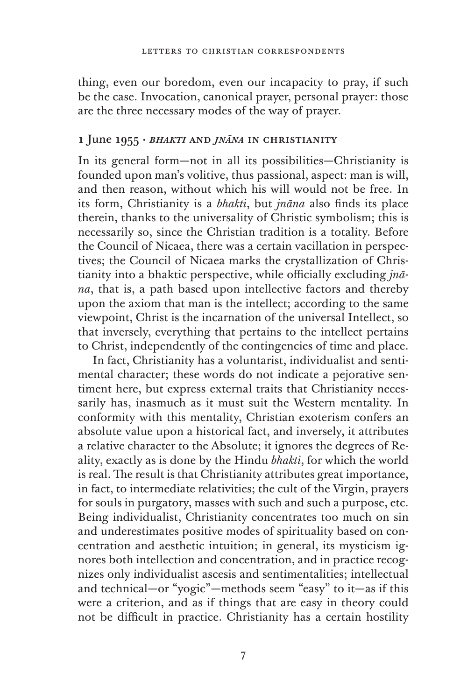thing, even our boredom, even our incapacity to pray, if such be the case. Invocation, canonical prayer, personal prayer: those are the three necessary modes of the way of prayer.

#### 1 June 1955 · *bhakti* and *jnāna* in christianity

In its general form—not in all its possibilities—Christianity is founded upon man's volitive, thus passional, aspect: man is will, and then reason, without which his will would not be free. In its form, Christianity is a *bhakti*, but *jnāna* also finds its place therein, thanks to the universality of Christic symbolism; this is necessarily so, since the Christian tradition is a totality. Before the Council of Nicaea, there was a certain vacillation in perspectives; the Council of Nicaea marks the crystallization of Christianity into a bhaktic perspective, while officially excluding *jnāna*, that is, a path based upon intellective factors and thereby upon the axiom that man is the intellect; according to the same viewpoint, Christ is the incarnation of the universal Intellect, so that inversely, everything that pertains to the intellect pertains to Christ, independently of the contingencies of time and place.

In fact, Christianity has a voluntarist, individualist and sentimental character; these words do not indicate a pejorative sentiment here, but express external traits that Christianity necessarily has, inasmuch as it must suit the Western mentality. In conformity with this mentality, Christian exoterism confers an absolute value upon a historical fact, and inversely, it attributes a relative character to the Absolute; it ignores the degrees of Reality, exactly as is done by the Hindu *bhakti*, for which the world is real. The result is that Christianity attributes great importance, in fact, to intermediate relativities; the cult of the Virgin, prayers for souls in purgatory, masses with such and such a purpose, etc. Being individualist, Christianity concentrates too much on sin and underestimates positive modes of spirituality based on concentration and aesthetic intuition; in general, its mysticism ignores both intellection and concentration, and in practice recognizes only individualist ascesis and sentimentalities; intellectual and technical—or "yogic"—methods seem "easy" to it—as if this were a criterion, and as if things that are easy in theory could not be difficult in practice. Christianity has a certain hostility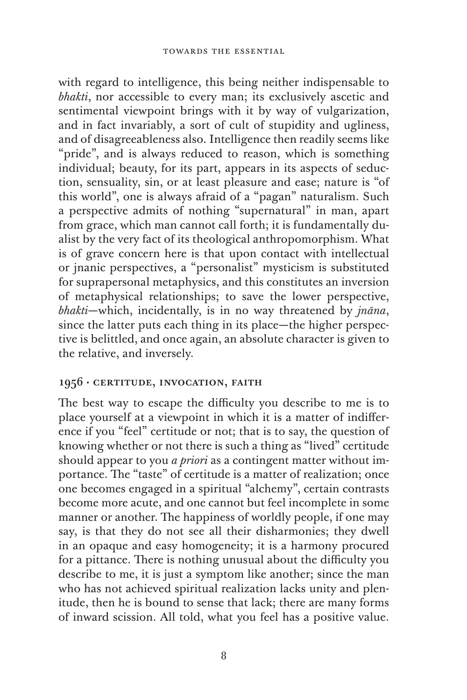with regard to intelligence, this being neither indispensable to *bhakti*, nor accessible to every man; its exclusively ascetic and sentimental viewpoint brings with it by way of vulgarization, and in fact invariably, a sort of cult of stupidity and ugliness, and of disagreeableness also. Intelligence then readily seems like "pride", and is always reduced to reason, which is something individual; beauty, for its part, appears in its aspects of seduction, sensuality, sin, or at least pleasure and ease; nature is "of this world", one is always afraid of a "pagan" naturalism. Such a perspective admits of nothing "supernatural" in man, apart from grace, which man cannot call forth; it is fundamentally dualist by the very fact of its theological anthropomorphism. What is of grave concern here is that upon contact with intellectual or jnanic perspectives, a "personalist" mysticism is substituted for suprapersonal metaphysics, and this constitutes an inversion of metaphysical relationships; to save the lower perspective, *bhakti*—which, incidentally, is in no way threatened by *jnāna*, since the latter puts each thing in its place—the higher perspective is belittled, and once again, an absolute character is given to the relative, and inversely.

### 1956 · CERTITUDE, INVOCATION, FAITH

The best way to escape the difficulty you describe to me is to place yourself at a viewpoint in which it is a matter of indifference if you "feel" certitude or not; that is to say, the question of knowing whether or not there is such a thing as "lived" certitude should appear to you *a priori* as a contingent matter without importance. The "taste" of certitude is a matter of realization; once one becomes engaged in a spiritual "alchemy", certain contrasts become more acute, and one cannot but feel incomplete in some manner or another. The happiness of worldly people, if one may say, is that they do not see all their disharmonies; they dwell in an opaque and easy homogeneity; it is a harmony procured for a pittance. There is nothing unusual about the difficulty you describe to me, it is just a symptom like another; since the man who has not achieved spiritual realization lacks unity and plenitude, then he is bound to sense that lack; there are many forms of inward scission. All told, what you feel has a positive value.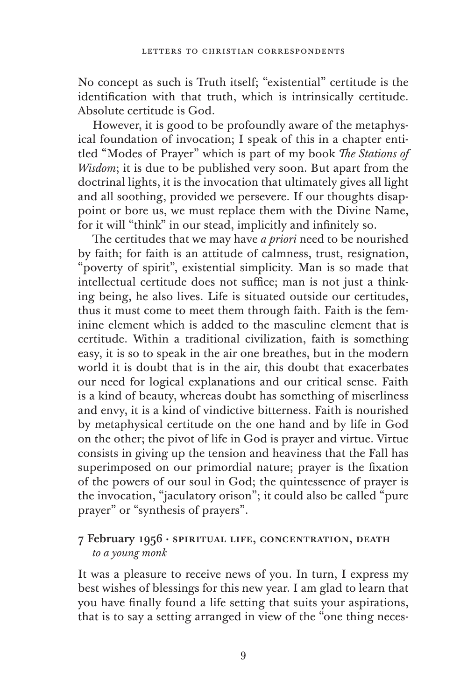No concept as such is Truth itself; "existential" certitude is the identification with that truth, which is intrinsically certitude. Absolute certitude is God.

However, it is good to be profoundly aware of the metaphysical foundation of invocation; I speak of this in a chapter entitled "Modes of Prayer" which is part of my book *The Stations of Wisdom*; it is due to be published very soon. But apart from the doctrinal lights, it is the invocation that ultimately gives all light and all soothing, provided we persevere. If our thoughts disappoint or bore us, we must replace them with the Divine Name, for it will "think" in our stead, implicitly and infinitely so.

The certitudes that we may have *a priori* need to be nourished by faith; for faith is an attitude of calmness, trust, resignation, "poverty of spirit", existential simplicity. Man is so made that intellectual certitude does not suffice; man is not just a thinking being, he also lives. Life is situated outside our certitudes, thus it must come to meet them through faith. Faith is the feminine element which is added to the masculine element that is certitude. Within a traditional civilization, faith is something easy, it is so to speak in the air one breathes, but in the modern world it is doubt that is in the air, this doubt that exacerbates our need for logical explanations and our critical sense. Faith is a kind of beauty, whereas doubt has something of miserliness and envy, it is a kind of vindictive bitterness. Faith is nourished by metaphysical certitude on the one hand and by life in God on the other; the pivot of life in God is prayer and virtue. Virtue consists in giving up the tension and heaviness that the Fall has superimposed on our primordial nature; prayer is the fixation of the powers of our soul in God; the quintessence of prayer is the invocation, "jaculatory orison"; it could also be called "pure prayer" or "synthesis of prayers".

## 7 February 1956 · spiritual life, concentration, death *to a young monk*

It was a pleasure to receive news of you. In turn, I express my best wishes of blessings for this new year. I am glad to learn that you have finally found a life setting that suits your aspirations, that is to say a setting arranged in view of the "one thing neces-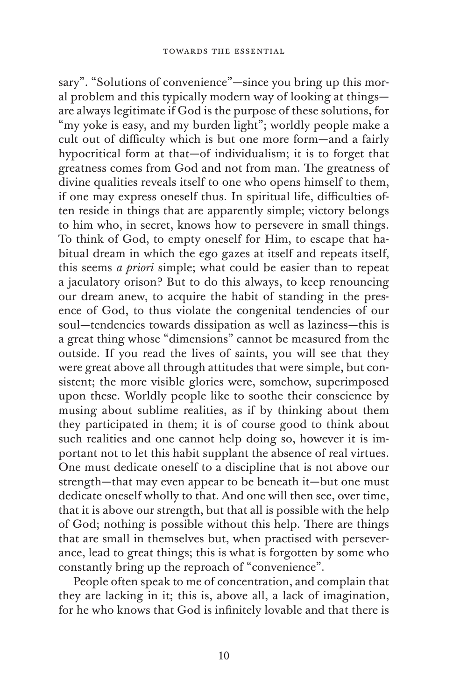sary". "Solutions of convenience"—since you bring up this moral problem and this typically modern way of looking at things are always legitimate if God is the purpose of these solutions, for "my yoke is easy, and my burden light"; worldly people make a cult out of difficulty which is but one more form—and a fairly hypocritical form at that—of individualism; it is to forget that greatness comes from God and not from man. The greatness of divine qualities reveals itself to one who opens himself to them, if one may express oneself thus. In spiritual life, difficulties often reside in things that are apparently simple; victory belongs to him who, in secret, knows how to persevere in small things. To think of God, to empty oneself for Him, to escape that habitual dream in which the ego gazes at itself and repeats itself, this seems *a priori* simple; what could be easier than to repeat a jaculatory orison? But to do this always, to keep renouncing our dream anew, to acquire the habit of standing in the presence of God, to thus violate the congenital tendencies of our soul—tendencies towards dissipation as well as laziness—this is a great thing whose "dimensions" cannot be measured from the outside. If you read the lives of saints, you will see that they were great above all through attitudes that were simple, but consistent; the more visible glories were, somehow, superimposed upon these. Worldly people like to soothe their conscience by musing about sublime realities, as if by thinking about them they participated in them; it is of course good to think about such realities and one cannot help doing so, however it is important not to let this habit supplant the absence of real virtues. One must dedicate oneself to a discipline that is not above our strength—that may even appear to be beneath it—but one must dedicate oneself wholly to that. And one will then see, over time, that it is above our strength, but that all is possible with the help of God; nothing is possible without this help. There are things that are small in themselves but, when practised with perseverance, lead to great things; this is what is forgotten by some who constantly bring up the reproach of "convenience".

People often speak to me of concentration, and complain that they are lacking in it; this is, above all, a lack of imagination, for he who knows that God is infinitely lovable and that there is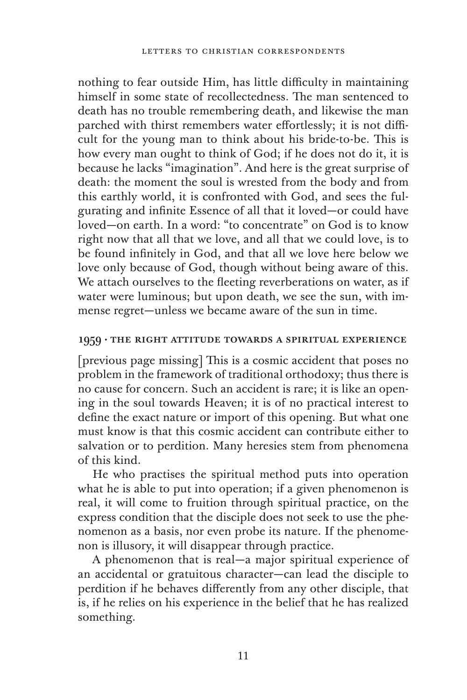nothing to fear outside Him, has little difficulty in maintaining himself in some state of recollectedness. The man sentenced to death has no trouble remembering death, and likewise the man parched with thirst remembers water effortlessly; it is not difficult for the young man to think about his bride-to-be. This is how every man ought to think of God; if he does not do it, it is because he lacks "imagination". And here is the great surprise of death: the moment the soul is wrested from the body and from this earthly world, it is confronted with God, and sees the fulgurating and infinite Essence of all that it loved—or could have loved—on earth. In a word: "to concentrate" on God is to know right now that all that we love, and all that we could love, is to be found infinitely in God, and that all we love here below we love only because of God, though without being aware of this. We attach ourselves to the fleeting reverberations on water, as if water were luminous; but upon death, we see the sun, with immense regret—unless we became aware of the sun in time.

#### 1959 · the right attitude towards a spiritual experience

[previous page missing] This is a cosmic accident that poses no problem in the framework of traditional orthodoxy; thus there is no cause for concern. Such an accident is rare; it is like an opening in the soul towards Heaven; it is of no practical interest to define the exact nature or import of this opening. But what one must know is that this cosmic accident can contribute either to salvation or to perdition. Many heresies stem from phenomena of this kind.

He who practises the spiritual method puts into operation what he is able to put into operation; if a given phenomenon is real, it will come to fruition through spiritual practice, on the express condition that the disciple does not seek to use the phenomenon as a basis, nor even probe its nature. If the phenomenon is illusory, it will disappear through practice.

A phenomenon that is real—a major spiritual experience of an accidental or gratuitous character—can lead the disciple to perdition if he behaves differently from any other disciple, that is, if he relies on his experience in the belief that he has realized something.